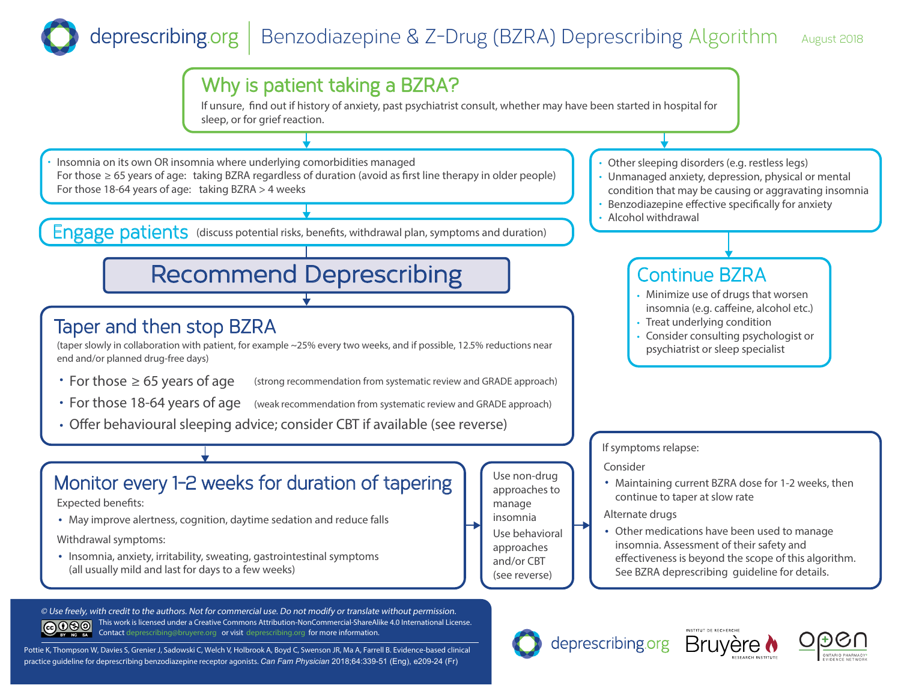# deprescribing.org | Benzodiazepine & Z-Drug (BZRA) Deprescribing Algorithm August 2018



Pottie K, Thompson W, Davies S, Grenier J, Sadowski C, Welch V, Holbrook A, Boyd C, Swenson JR, Ma A, Farrell B. Evidence-based clinical practice guideline for deprescribing benzodiazepine receptor agonists. *Can Fam Physician* 2018;64:339-51 (Eng), e209-24 (Fr)